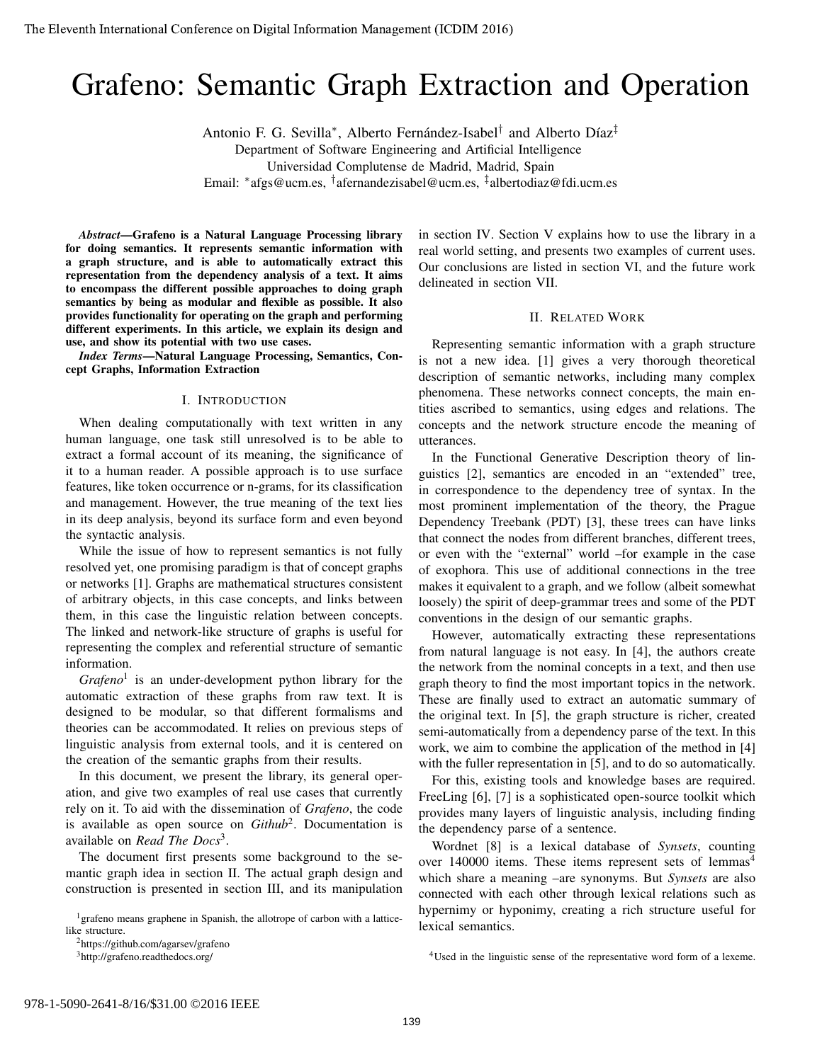# Grafeno: Semantic Graph Extraction and Operation

Antonio F. G. Sevilla<sup>\*</sup>, Alberto Fernández-Isabel<sup>†</sup> and Alberto Díaz<sup>‡</sup>

Department of Software Engineering and Artificial Intelligence Universidad Complutense de Madrid, Madrid, Spain

Email: <sup>∗</sup> afgs@ucm.es, † afernandezisabel@ucm.es, ‡ albertodiaz@fdi.ucm.es

*Abstract*—Grafeno is a Natural Language Processing library for doing semantics. It represents semantic information with a graph structure, and is able to automatically extract this representation from the dependency analysis of a text. It aims to encompass the different possible approaches to doing graph semantics by being as modular and flexible as possible. It also provides functionality for operating on the graph and performing different experiments. In this article, we explain its design and use, and show its potential with two use cases.

*Index Terms*—Natural Language Processing, Semantics, Concept Graphs, Information Extraction

## I. INTRODUCTION

When dealing computationally with text written in any human language, one task still unresolved is to be able to extract a formal account of its meaning, the significance of it to a human reader. A possible approach is to use surface features, like token occurrence or n-grams, for its classification and management. However, the true meaning of the text lies in its deep analysis, beyond its surface form and even beyond the syntactic analysis.

While the issue of how to represent semantics is not fully resolved yet, one promising paradigm is that of concept graphs or networks [1]. Graphs are mathematical structures consistent of arbitrary objects, in this case concepts, and links between them, in this case the linguistic relation between concepts. The linked and network-like structure of graphs is useful for representing the complex and referential structure of semantic information.

*Grafeno*<sup>1</sup> is an under-development python library for the automatic extraction of these graphs from raw text. It is designed to be modular, so that different formalisms and theories can be accommodated. It relies on previous steps of linguistic analysis from external tools, and it is centered on the creation of the semantic graphs from their results.

In this document, we present the library, its general operation, and give two examples of real use cases that currently rely on it. To aid with the dissemination of *Grafeno*, the code is available as open source on *Github*<sup>2</sup> . Documentation is available on *Read The Docs*<sup>3</sup> .

The document first presents some background to the semantic graph idea in section II. The actual graph design and construction is presented in section III, and its manipulation

<sup>1</sup> grafeno means graphene in Spanish, the allotrope of carbon with a latticelike structure.

<sup>2</sup>https://github.com/agarsev/grafeno

<sup>3</sup>http://grafeno.readthedocs.org/

in section IV. Section V explains how to use the library in a real world setting, and presents two examples of current uses. Our conclusions are listed in section VI, and the future work delineated in section VII.

### II. RELATED WORK

Representing semantic information with a graph structure is not a new idea. [1] gives a very thorough theoretical description of semantic networks, including many complex phenomena. These networks connect concepts, the main entities ascribed to semantics, using edges and relations. The concepts and the network structure encode the meaning of utterances.

In the Functional Generative Description theory of linguistics [2], semantics are encoded in an "extended" tree, in correspondence to the dependency tree of syntax. In the most prominent implementation of the theory, the Prague Dependency Treebank (PDT) [3], these trees can have links that connect the nodes from different branches, different trees, or even with the "external" world –for example in the case of exophora. This use of additional connections in the tree makes it equivalent to a graph, and we follow (albeit somewhat loosely) the spirit of deep-grammar trees and some of the PDT conventions in the design of our semantic graphs.

However, automatically extracting these representations from natural language is not easy. In [4], the authors create the network from the nominal concepts in a text, and then use graph theory to find the most important topics in the network. These are finally used to extract an automatic summary of the original text. In [5], the graph structure is richer, created semi-automatically from a dependency parse of the text. In this work, we aim to combine the application of the method in [4] with the fuller representation in [5], and to do so automatically.

For this, existing tools and knowledge bases are required. FreeLing [6], [7] is a sophisticated open-source toolkit which provides many layers of linguistic analysis, including finding the dependency parse of a sentence.

Wordnet [8] is a lexical database of *Synsets*, counting over 140000 items. These items represent sets of lemmas<sup>4</sup> which share a meaning –are synonyms. But *Synsets* are also connected with each other through lexical relations such as hypernimy or hyponimy, creating a rich structure useful for lexical semantics.

<sup>4</sup>Used in the linguistic sense of the representative word form of a lexeme.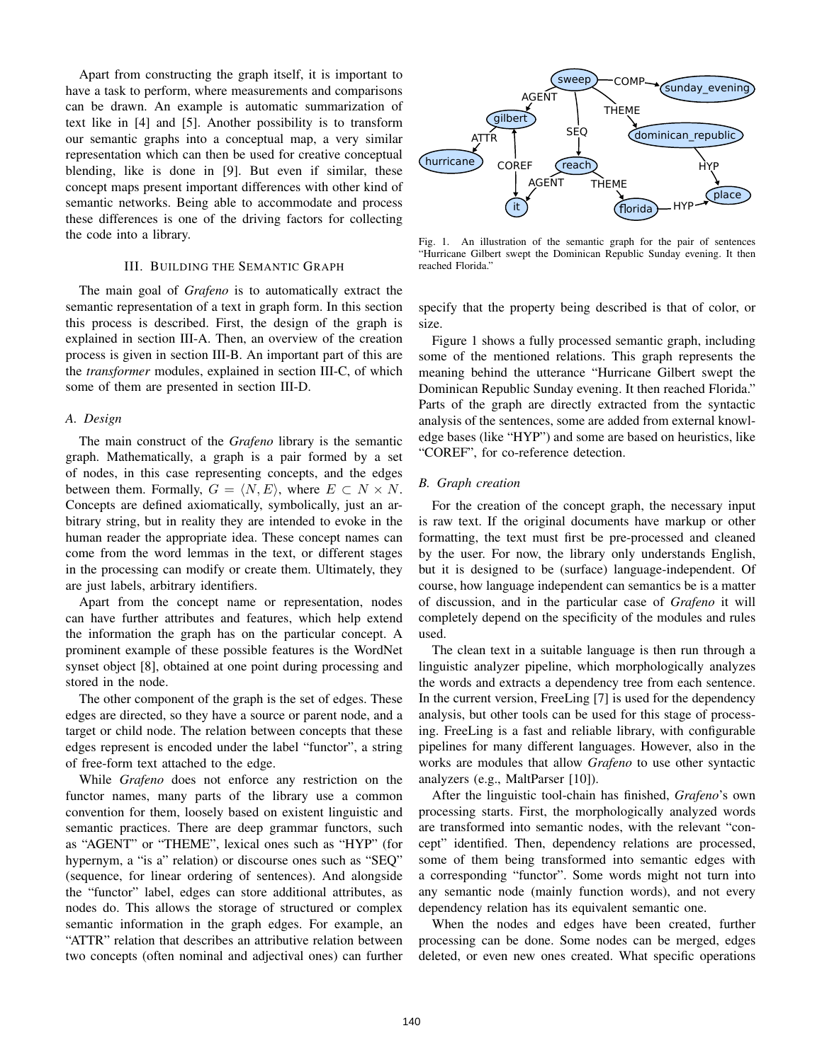Apart from constructing the graph itself, it is important to have a task to perform, where measurements and comparisons can be drawn. An example is automatic summarization of text like in [4] and [5]. Another possibility is to transform our semantic graphs into a conceptual map, a very similar representation which can then be used for creative conceptual blending, like is done in [9]. But even if similar, these concept maps present important differences with other kind of semantic networks. Being able to accommodate and process these differences is one of the driving factors for collecting the code into a library.

## III. BUILDING THE SEMANTIC GRAPH

The main goal of *Grafeno* is to automatically extract the semantic representation of a text in graph form. In this section this process is described. First, the design of the graph is explained in section III-A. Then, an overview of the creation process is given in section III-B. An important part of this are the *transformer* modules, explained in section III-C, of which some of them are presented in section III-D.

## *A. Design*

The main construct of the *Grafeno* library is the semantic graph. Mathematically, a graph is a pair formed by a set of nodes, in this case representing concepts, and the edges between them. Formally,  $G = \langle N, E \rangle$ , where  $E \subset N \times N$ . Concepts are defined axiomatically, symbolically, just an arbitrary string, but in reality they are intended to evoke in the human reader the appropriate idea. These concept names can come from the word lemmas in the text, or different stages in the processing can modify or create them. Ultimately, they are just labels, arbitrary identifiers.

Apart from the concept name or representation, nodes can have further attributes and features, which help extend the information the graph has on the particular concept. A prominent example of these possible features is the WordNet synset object [8], obtained at one point during processing and stored in the node.

The other component of the graph is the set of edges. These edges are directed, so they have a source or parent node, and a target or child node. The relation between concepts that these edges represent is encoded under the label "functor", a string of free-form text attached to the edge.

While *Grafeno* does not enforce any restriction on the functor names, many parts of the library use a common convention for them, loosely based on existent linguistic and semantic practices. There are deep grammar functors, such as "AGENT" or "THEME", lexical ones such as "HYP" (for hypernym, a "is a" relation) or discourse ones such as "SEQ" (sequence, for linear ordering of sentences). And alongside the "functor" label, edges can store additional attributes, as nodes do. This allows the storage of structured or complex semantic information in the graph edges. For example, an "ATTR" relation that describes an attributive relation between two concepts (often nominal and adjectival ones) can further



Fig. 1. An illustration of the semantic graph for the pair of sentences "Hurricane Gilbert swept the Dominican Republic Sunday evening. It then reached Florida.'

specify that the property being described is that of color, or size.

Figure 1 shows a fully processed semantic graph, including some of the mentioned relations. This graph represents the meaning behind the utterance "Hurricane Gilbert swept the Dominican Republic Sunday evening. It then reached Florida." Parts of the graph are directly extracted from the syntactic analysis of the sentences, some are added from external knowledge bases (like "HYP") and some are based on heuristics, like "COREF", for co-reference detection.

## *B. Graph creation*

For the creation of the concept graph, the necessary input is raw text. If the original documents have markup or other formatting, the text must first be pre-processed and cleaned by the user. For now, the library only understands English, but it is designed to be (surface) language-independent. Of course, how language independent can semantics be is a matter of discussion, and in the particular case of *Grafeno* it will completely depend on the specificity of the modules and rules used.

The clean text in a suitable language is then run through a linguistic analyzer pipeline, which morphologically analyzes the words and extracts a dependency tree from each sentence. In the current version, FreeLing [7] is used for the dependency analysis, but other tools can be used for this stage of processing. FreeLing is a fast and reliable library, with configurable pipelines for many different languages. However, also in the works are modules that allow *Grafeno* to use other syntactic analyzers (e.g., MaltParser [10]).

After the linguistic tool-chain has finished, *Grafeno*'s own processing starts. First, the morphologically analyzed words are transformed into semantic nodes, with the relevant "concept" identified. Then, dependency relations are processed, some of them being transformed into semantic edges with a corresponding "functor". Some words might not turn into any semantic node (mainly function words), and not every dependency relation has its equivalent semantic one.

When the nodes and edges have been created, further processing can be done. Some nodes can be merged, edges deleted, or even new ones created. What specific operations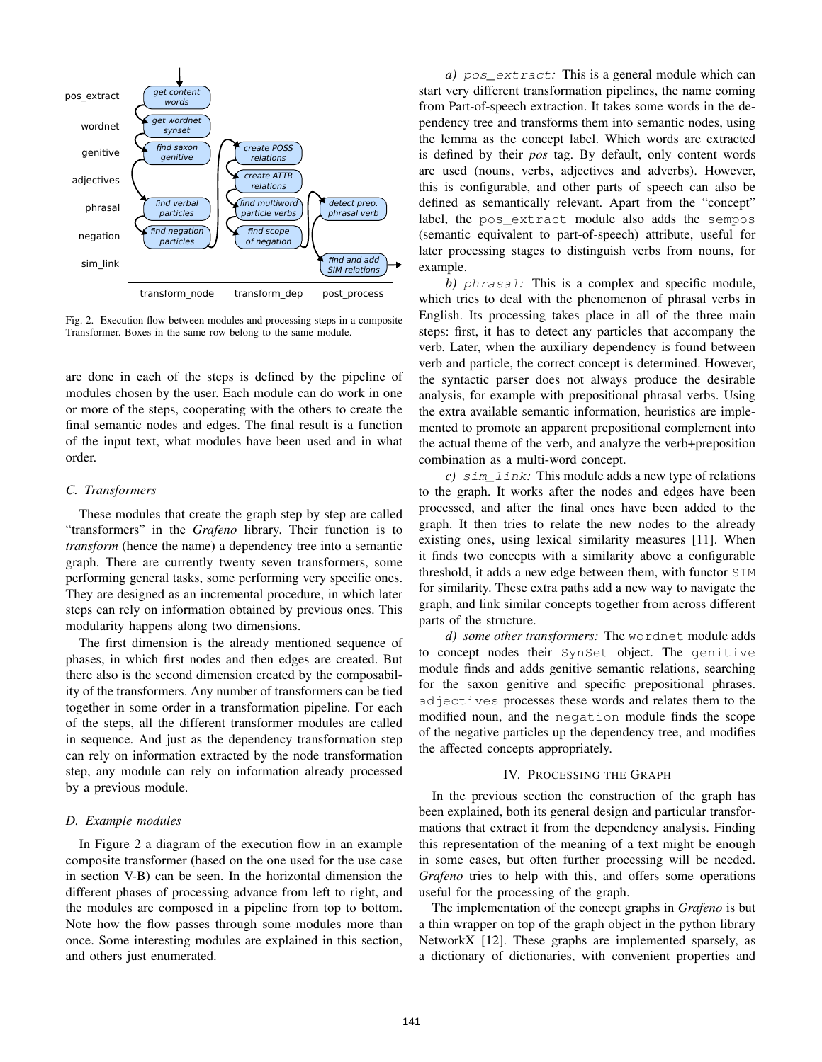

Fig. 2. Execution flow between modules and processing steps in a composite Transformer. Boxes in the same row belong to the same module.

are done in each of the steps is defined by the pipeline of modules chosen by the user. Each module can do work in one or more of the steps, cooperating with the others to create the final semantic nodes and edges. The final result is a function of the input text, what modules have been used and in what order.

#### *C. Transformers*

These modules that create the graph step by step are called "transformers" in the *Grafeno* library. Their function is to *transform* (hence the name) a dependency tree into a semantic graph. There are currently twenty seven transformers, some performing general tasks, some performing very specific ones. They are designed as an incremental procedure, in which later steps can rely on information obtained by previous ones. This modularity happens along two dimensions.

The first dimension is the already mentioned sequence of phases, in which first nodes and then edges are created. But there also is the second dimension created by the composability of the transformers. Any number of transformers can be tied together in some order in a transformation pipeline. For each of the steps, all the different transformer modules are called in sequence. And just as the dependency transformation step can rely on information extracted by the node transformation step, any module can rely on information already processed by a previous module.

#### *D. Example modules*

In Figure 2 a diagram of the execution flow in an example composite transformer (based on the one used for the use case in section V-B) can be seen. In the horizontal dimension the different phases of processing advance from left to right, and the modules are composed in a pipeline from top to bottom. Note how the flow passes through some modules more than once. Some interesting modules are explained in this section, and others just enumerated.

*a)* pos\_extract*:* This is a general module which can start very different transformation pipelines, the name coming from Part-of-speech extraction. It takes some words in the dependency tree and transforms them into semantic nodes, using the lemma as the concept label. Which words are extracted is defined by their *pos* tag. By default, only content words are used (nouns, verbs, adjectives and adverbs). However, this is configurable, and other parts of speech can also be defined as semantically relevant. Apart from the "concept" label, the pos\_extract module also adds the sempos (semantic equivalent to part-of-speech) attribute, useful for later processing stages to distinguish verbs from nouns, for example.

*b)* phrasal*:* This is a complex and specific module, which tries to deal with the phenomenon of phrasal verbs in English. Its processing takes place in all of the three main steps: first, it has to detect any particles that accompany the verb. Later, when the auxiliary dependency is found between verb and particle, the correct concept is determined. However, the syntactic parser does not always produce the desirable analysis, for example with prepositional phrasal verbs. Using the extra available semantic information, heuristics are implemented to promote an apparent prepositional complement into the actual theme of the verb, and analyze the verb+preposition combination as a multi-word concept.

*c)* sim\_link*:* This module adds a new type of relations to the graph. It works after the nodes and edges have been processed, and after the final ones have been added to the graph. It then tries to relate the new nodes to the already existing ones, using lexical similarity measures [11]. When it finds two concepts with a similarity above a configurable threshold, it adds a new edge between them, with functor SIM for similarity. These extra paths add a new way to navigate the graph, and link similar concepts together from across different parts of the structure.

*d) some other transformers:* The wordnet module adds to concept nodes their SynSet object. The genitive module finds and adds genitive semantic relations, searching for the saxon genitive and specific prepositional phrases. adjectives processes these words and relates them to the modified noun, and the negation module finds the scope of the negative particles up the dependency tree, and modifies the affected concepts appropriately.

## IV. PROCESSING THE GRAPH

In the previous section the construction of the graph has been explained, both its general design and particular transformations that extract it from the dependency analysis. Finding this representation of the meaning of a text might be enough in some cases, but often further processing will be needed. *Grafeno* tries to help with this, and offers some operations useful for the processing of the graph.

The implementation of the concept graphs in *Grafeno* is but a thin wrapper on top of the graph object in the python library NetworkX [12]. These graphs are implemented sparsely, as a dictionary of dictionaries, with convenient properties and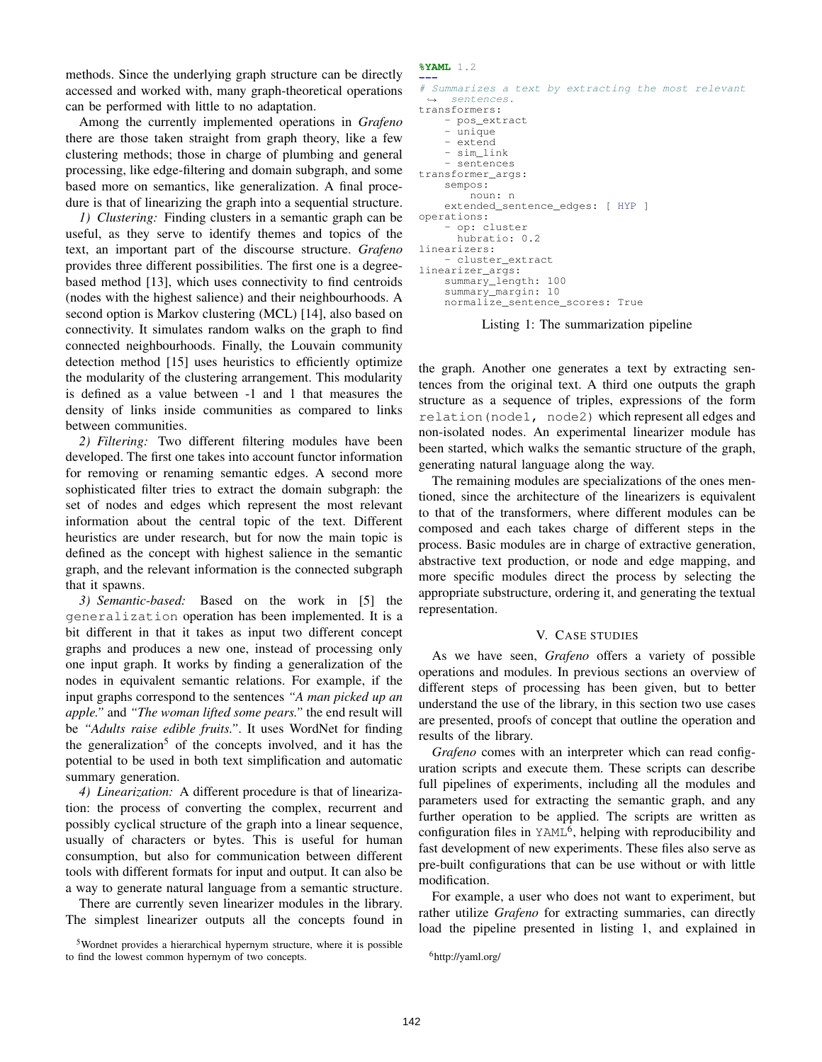methods. Since the underlying graph structure can be directly accessed and worked with, many graph-theoretical operations can be performed with little to no adaptation.

Among the currently implemented operations in *Grafeno* there are those taken straight from graph theory, like a few clustering methods; those in charge of plumbing and general processing, like edge-filtering and domain subgraph, and some based more on semantics, like generalization. A final procedure is that of linearizing the graph into a sequential structure.

*1) Clustering:* Finding clusters in a semantic graph can be useful, as they serve to identify themes and topics of the text, an important part of the discourse structure. *Grafeno* provides three different possibilities. The first one is a degreebased method [13], which uses connectivity to find centroids (nodes with the highest salience) and their neighbourhoods. A second option is Markov clustering (MCL) [14], also based on connectivity. It simulates random walks on the graph to find connected neighbourhoods. Finally, the Louvain community detection method [15] uses heuristics to efficiently optimize the modularity of the clustering arrangement. This modularity is defined as a value between -1 and 1 that measures the density of links inside communities as compared to links between communities.

*2) Filtering:* Two different filtering modules have been developed. The first one takes into account functor information for removing or renaming semantic edges. A second more sophisticated filter tries to extract the domain subgraph: the set of nodes and edges which represent the most relevant information about the central topic of the text. Different heuristics are under research, but for now the main topic is defined as the concept with highest salience in the semantic graph, and the relevant information is the connected subgraph that it spawns.

*3) Semantic-based:* Based on the work in [5] the generalization operation has been implemented. It is a bit different in that it takes as input two different concept graphs and produces a new one, instead of processing only one input graph. It works by finding a generalization of the nodes in equivalent semantic relations. For example, if the input graphs correspond to the sentences *"A man picked up an apple."* and *"The woman lifted some pears."* the end result will be *"Adults raise edible fruits."*. It uses WordNet for finding the generalization<sup>5</sup> of the concepts involved, and it has the potential to be used in both text simplification and automatic summary generation.

*4) Linearization:* A different procedure is that of linearization: the process of converting the complex, recurrent and possibly cyclical structure of the graph into a linear sequence, usually of characters or bytes. This is useful for human consumption, but also for communication between different tools with different formats for input and output. It can also be a way to generate natural language from a semantic structure.

There are currently seven linearizer modules in the library. The simplest linearizer outputs all the concepts found in

<sup>5</sup>Wordnet provides a hierarchical hypernym structure, where it is possible to find the lowest common hypernym of two concepts.

#### **%YAML** 1.2

```
---
# Summarizes a text by extracting the most relevant
    sentences.
transformers:
    - pos_extract
    - unique
    - extend
    - sim_link
     - sentences
transformer_args:
    sempos:
        noun: n
    extended_sentence_edges: [ HYP ]
operations:
    - op: cluster
     hubratio: 0.2
linearizers:
    - cluster_extract
linearizer_args:
    summary_length: 100
    summary_margin: 10
    normalize_sentence_scores: True
```
Listing 1: The summarization pipeline

the graph. Another one generates a text by extracting sentences from the original text. A third one outputs the graph structure as a sequence of triples, expressions of the form relation(node1, node2) which represent all edges and non-isolated nodes. An experimental linearizer module has been started, which walks the semantic structure of the graph, generating natural language along the way.

The remaining modules are specializations of the ones mentioned, since the architecture of the linearizers is equivalent to that of the transformers, where different modules can be composed and each takes charge of different steps in the process. Basic modules are in charge of extractive generation, abstractive text production, or node and edge mapping, and more specific modules direct the process by selecting the appropriate substructure, ordering it, and generating the textual representation.

## V. CASE STUDIES

As we have seen, *Grafeno* offers a variety of possible operations and modules. In previous sections an overview of different steps of processing has been given, but to better understand the use of the library, in this section two use cases are presented, proofs of concept that outline the operation and results of the library.

*Grafeno* comes with an interpreter which can read configuration scripts and execute them. These scripts can describe full pipelines of experiments, including all the modules and parameters used for extracting the semantic graph, and any further operation to be applied. The scripts are written as configuration files in  $YAML<sup>6</sup>$ , helping with reproducibility and fast development of new experiments. These files also serve as pre-built configurations that can be use without or with little modification.

For example, a user who does not want to experiment, but rather utilize *Grafeno* for extracting summaries, can directly load the pipeline presented in listing 1, and explained in

<sup>6</sup>http://yaml.org/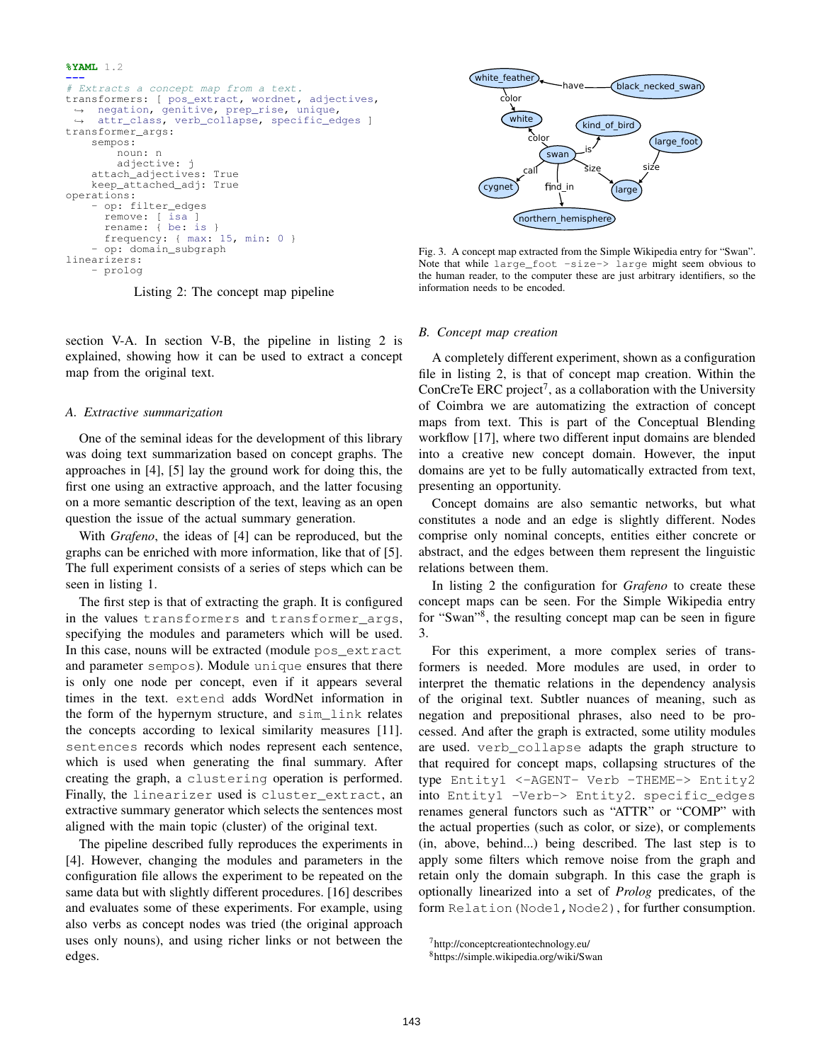```
%YAML 1.2
---
# Extracts a concept map from a text.
transformers: [ pos_extract, wordnet, adjectives,
 → negation, genitive, prep_rise, unique,<br>→ attr_class, verb_collapse, specific_edges ]
transformer_args:
    sempos:
         noun: n
         adjective: j
    attach_adjectives: True
    keep_attached_adj: True
operations:
      op: filter_edges
       remove: [ isa ]
rename: { be: is }
       frequency: { max: 15, min: 0 }
    - op: domain_subgraph
linearizers:
     - prolog
```
Listing 2: The concept map pipeline

section V-A. In section V-B, the pipeline in listing 2 is explained, showing how it can be used to extract a concept map from the original text.

### *A. Extractive summarization*

One of the seminal ideas for the development of this library was doing text summarization based on concept graphs. The approaches in [4], [5] lay the ground work for doing this, the first one using an extractive approach, and the latter focusing on a more semantic description of the text, leaving as an open question the issue of the actual summary generation.

With *Grafeno*, the ideas of [4] can be reproduced, but the graphs can be enriched with more information, like that of [5]. The full experiment consists of a series of steps which can be seen in listing 1.

The first step is that of extracting the graph. It is configured in the values transformers and transformer\_args, specifying the modules and parameters which will be used. In this case, nouns will be extracted (module pos\_extract and parameter sempos). Module unique ensures that there is only one node per concept, even if it appears several times in the text. extend adds WordNet information in the form of the hypernym structure, and sim\_link relates the concepts according to lexical similarity measures [11]. sentences records which nodes represent each sentence, which is used when generating the final summary. After creating the graph, a clustering operation is performed. Finally, the linearizer used is cluster\_extract, an extractive summary generator which selects the sentences most aligned with the main topic (cluster) of the original text.

The pipeline described fully reproduces the experiments in [4]. However, changing the modules and parameters in the configuration file allows the experiment to be repeated on the same data but with slightly different procedures. [16] describes and evaluates some of these experiments. For example, using also verbs as concept nodes was tried (the original approach uses only nouns), and using richer links or not between the edges.



Fig. 3. A concept map extracted from the Simple Wikipedia entry for "Swan". Note that while large\_foot -size-> large might seem obvious to the human reader, to the computer these are just arbitrary identifiers, so the information needs to be encoded.

#### *B. Concept map creation*

A completely different experiment, shown as a configuration file in listing 2, is that of concept map creation. Within the ConCreTe ERC project<sup>7</sup>, as a collaboration with the University of Coimbra we are automatizing the extraction of concept maps from text. This is part of the Conceptual Blending workflow [17], where two different input domains are blended into a creative new concept domain. However, the input domains are yet to be fully automatically extracted from text, presenting an opportunity.

Concept domains are also semantic networks, but what constitutes a node and an edge is slightly different. Nodes comprise only nominal concepts, entities either concrete or abstract, and the edges between them represent the linguistic relations between them.

In listing 2 the configuration for *Grafeno* to create these concept maps can be seen. For the Simple Wikipedia entry for "Swan"<sup>8</sup> , the resulting concept map can be seen in figure 3.

For this experiment, a more complex series of transformers is needed. More modules are used, in order to interpret the thematic relations in the dependency analysis of the original text. Subtler nuances of meaning, such as negation and prepositional phrases, also need to be processed. And after the graph is extracted, some utility modules are used. verb\_collapse adapts the graph structure to that required for concept maps, collapsing structures of the type Entity1 <-AGENT- Verb -THEME-> Entity2 into Entity1 -Verb-> Entity2. specific\_edges renames general functors such as "ATTR" or "COMP" with the actual properties (such as color, or size), or complements (in, above, behind...) being described. The last step is to apply some filters which remove noise from the graph and retain only the domain subgraph. In this case the graph is optionally linearized into a set of *Prolog* predicates, of the form Relation (Node1, Node2), for further consumption.

<sup>7</sup>http://conceptcreationtechnology.eu/

<sup>8</sup>https://simple.wikipedia.org/wiki/Swan